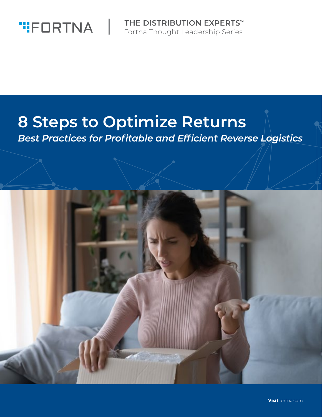

**THE DISTRIBUTION EXPERTS™** Fortna Thought Leadership Series

## **8 Steps to Optimize Returns**

*Best Practices for Profitable and Efficient Reverse Logistics*

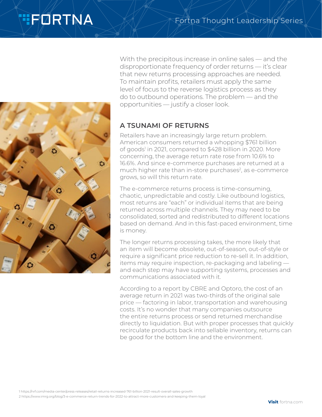# **TEDRTNA**



With the precipitous increase in online sales — and the disproportionate frequency of order returns — it's clear that new returns processing approaches are needed. To maintain profits, retailers must apply the same level of focus to the reverse logistics process as they do to outbound operations. The problem — and the opportunities — justify a closer look.

### **A TSUNAMI OF RETURNS**

Retailers have an increasingly large return problem. American consumers returned a whopping \$761 billion of goods' in 2021, compared to \$428 billion in 2020. More concerning, the average return rate rose from 10.6% to 16.6%. And since e-commerce purchases are returned at a much higher rate than in-store purchases<sup>2</sup>, as e-commerce grows, so will this return rate.

The e-commerce returns process is time-consuming, chaotic, unpredictable and costly. Like outbound logistics, most returns are "each" or individual items that are being returned across multiple channels. They may need to be consolidated, sorted and redistributed to different locations based on demand. And in this fast-paced environment, time is money.

The longer returns processing takes, the more likely that an item will become obsolete, out-of-season, out-of-style or require a significant price reduction to re-sell it. In addition, items may require inspection, re-packaging and labeling and each step may have supporting systems, processes and communications associated with it.

According to a report by CBRE and Optoro, the cost of an average return in 2021 was two-thirds of the original sale price — factoring in labor, transportation and warehousing costs. It's no wonder that many companies outsource the entire returns process or send returned merchandise directly to liquidation. But with proper processes that quickly recirculate products back into sellable inventory, returns can be good for the bottom line and the environment.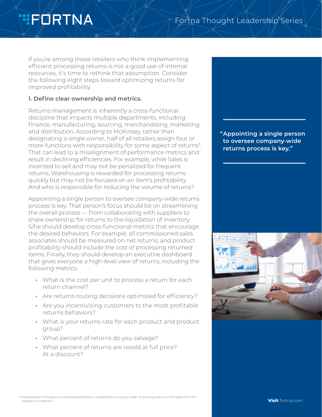# **TFORTNA**

If you're among those retailers who think implementing efficient processing returns is not a good use of internal resources, it's time to rethink that assumption. Consider the following eight steps toward optimizing returns for improved profitability.

#### **1. Define clear ownership and metrics.**

Returns management is inherently a cross-functional discipline that impacts multiple departments, including finance, manufacturing, sourcing, merchandising, marketing and distribution. According to McKinsey, rather than designating a single owner, half of all retailers assign four or more functions with responsibility for some aspect of returns<sup>3</sup>. That can lead to a misalignment of performance metrics and result in declining efficiencies. For example, while Sales is incented to sell and may not be penalized for frequent returns, Warehousing is rewarded for processing returns quickly but may not be focused on an item's profitability. And who is responsible for reducing the volume of returns?

Appointing a single person to oversee company-wide returns process is key. That person's focus should be on streamlining the overall process — from collaborating with suppliers to share ownership for returns to the liquidation of inventory. S/he should develop cross-functional metrics that encourage the desired behaviors. For example, all commissioned sales associates should be measured on net returns, and product profitability should include the cost of processing returned items. Finally, they should develop an executive dashboard that gives everyone a high-level view of returns, including the following metrics:

- **•** What is the cost per unit to process a return for each return channel?
- **•** Are returns routing decisions optimized for efficiency?
- **•** Are you incentivizing customers to the most profitable returns behaviors?
- **•** What is your returns rate for each product and product group?
- **•** What percent of returns do you salvage?
- **•** What percent of returns are resold at full price? At a discount?

**"Appointing a single person to oversee company-wide returns process is key."**

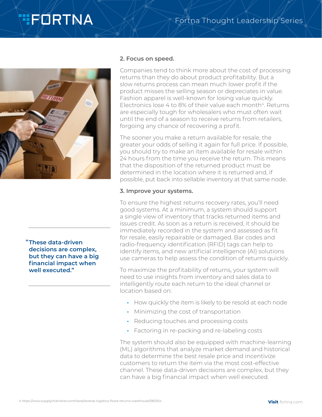## **TIFORTNA**



**"These data-driven decisions are complex, but they can have a big financial impact when well executed."**

#### **2. Focus on speed.**

Companies tend to think more about the cost of processing returns than they do about product profitability. But a slow returns process can mean much lower profit if the product misses the selling season or depreciates in value. Fashion apparel is well-known for losing value quickly. Electronics lose 4 to 8% of their value each month<sup>4</sup>. Returns are especially tough for wholesalers who must often wait until the end of a season to receive returns from retailers, forgoing any chance of recovering a profit.

The sooner you make a return available for resale, the greater your odds of selling it again for full price. If possible, you should try to make an item available for resale within 24 hours from the time you receive the return. This means that the disposition of the returned product must be determined in the location where it is returned and, if possible, put back into sellable inventory at that same node.

#### **3. Improve your systems.**

To ensure the highest returns recovery rates, you'll need good systems. At a minimum, a system should support a single view of inventory that tracks returned items and issues credit. As soon as a return is received, it should be immediately recorded in the system and assessed as fit for resale, easily repairable or damaged. Bar codes and radio-frequency identification (RFID) tags can help to identify items, and new artificial intelligence (AI) solutions use cameras to help assess the condition of returns quickly.

To maximize the profitability of returns, your system will need to use insights from inventory and sales data to intelligently route each return to the ideal channel or location based on:

- **•** How quickly the item is likely to be resold at each node
- **•** Minimizing the cost of transportation
- **•** Reducing touches and processing costs
- **•** Factoring in re-packing and re-labeling costs

The system should also be equipped with machine-learning (ML) algorithms that analyze market demand and historical data to determine the best resale price and incentivize customers to return the item via the most cost-effective channel. These data-driven decisions are complex, but they can have a big financial impact when well executed.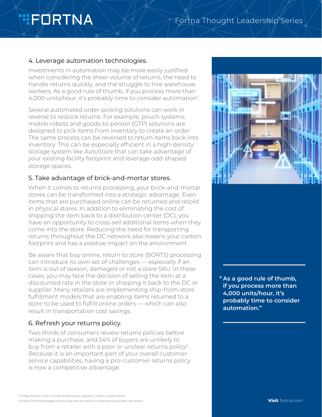# **TIFORTNA**

### Fortna Thought Leadership Series

### 4. Leverage automation technologies.

Investments in automation may be more easily justified when considering the sheer volume of returns, the need to handle returns quickly, and the struggle to hire warehouse workers. As a good rule of thumb, if you process more than 4,000 units/hour, it's probably time to consider automation<sup>5</sup>.

Several automated order-picking solutions can work in reverse to restock returns. For example, pouch systems, mobile robots and goods-to-person (GTP) solutions are designed to pick items from inventory to create an order. The same process can be reversed to return items back into inventory. This can be especially efficient in a high-density storage system like AutoStore that can take advantage of your existing facility footprint and leverage odd-shaped storage spaces.

#### 5. Take advantage of brick-and-mortar stores.

When it comes to returns processing, your brick-and-mortar stores can be transformed into a strategic advantage. Even items that are purchased online can be returned and resold in physical stores. In addition to eliminating the cost of shipping the item back to a distribution center (DC), you have an opportunity to cross-sell additional items when they come into the store. Reducing the need for transporting returns throughout the DC network also lessens your carbon footprint and has a positive impact on the environment.

Be aware that buy online, return to store (BORTS) processing can introduce its own set of challenges — especially if an item is out of season, damaged or not a store SKU. In these cases, you may face the decision of selling the item at a discounted rate in the store or shipping it back to the DC or supplier. Many retailers are implementing ship-from-store fulfillment models that are enabling items returned to a store to be used to fulfill online orders — which can also result in transportation cost savings.

### 6. Refresh your returns policy.

Two-thirds of consumers review returns policies before making a purchase, and 54% of buyers are unlikely to buy from a retailer with a poor or unclear returns policy<sup>6</sup>. Because it is an important part of your overall customer service capabilities, having a pro-customer returns policy is now a competitive advantage.



**" As a good rule of thumb, if you process more than 4,000 units/hour, it's probably time to consider automation."**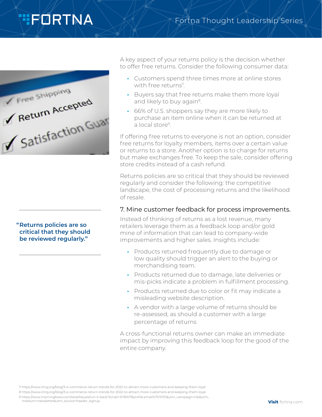## **TEDRTNA**



A key aspect of your returns policy is the decision whether to offer free returns. Consider the following consumer data:

Fortna Thought Leadership Series

- **•** Customers spend three times more at online stores with free returns<sup>7</sup>.
- **•** Buyers say that free returns make them more loyal and likely to buy again<sup>8</sup>.
- **•** 66% of U.S. shoppers say they are more likely to purchase an item online when it can be returned at a local store<sup>9</sup>.

If offering free returns to everyone is not an option, consider free returns for loyalty members, items over a certain value or returns to a store. Another option is to charge for returns but make exchanges free. To keep the sale, consider offering store credits instead of a cash refund.

Returns policies are so critical that they should be reviewed regularly and consider the following: the competitive landscape, the cost of processing returns and the likelihood of resale.

#### 7. Mine customer feedback for process improvements.

Instead of thinking of returns as a lost revenue, many retailers leverage them as a feedback loop and/or gold mine of information that can lead to company-wide improvements and higher sales. Insights include:

- **•** Products returned frequently due to damage or low quality should trigger an alert to the buying or merchandising team.
- **•** Products returned due to damage, late deliveries or mis-picks indicate a problem in fulfillment processing.
- **•** Products returned due to color or fit may indicate a misleading website description.
- **•** A vendor with a large volume of returns should be re-assessed, as should a customer with a large percentage of returns

A cross-functional returns owner can make an immediate impact by improving this feedback loop for the good of the entire company.

**"Returns policies are so critical that they should be reviewed regularly."**

9 [https://www.morningbrew.com/retail/issues/run-it-back?email=%7B%7Bprofile.email%7D%7D&utm\\_campaign=rtb&utm\\_](https://www.morningbrew.com/retail/issues/run-it-back?email=%7B%7Bprofile.email%7D%7D&utm_campaign=rtb&utm_medium=newsletter&utm_source=header_signup)

[medium=newsletter&utm\\_source=header\\_signup](https://www.morningbrew.com/retail/issues/run-it-back?email=%7B%7Bprofile.email%7D%7D&utm_campaign=rtb&utm_medium=newsletter&utm_source=header_signup)

<sup>7</sup> [https://www.imrg.org/blog/3-e-commerce-return-trends-for-2022-to-attract-more-customers-and-keeping-them-loyal](https://www.imrg.org/blog/3-e-commerce-return-trends-for-2022-to-attract-more-customers-and-keeping-them-loyal/)

<sup>8</sup> [https://www.imrg.org/blog/3-e-commerce-return-trends-for-2022-to-attract-more-customers-and-keeping-them-loyal](https://www.imrg.org/blog/3-e-commerce-return-trends-for-2022-to-attract-more-customers-and-keeping-them-loyal/)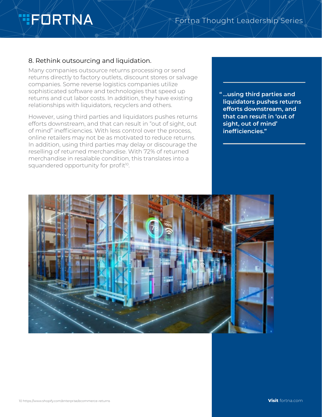# **TEDRTNA**

### 8. Rethink outsourcing and liquidation.

Many companies outsource returns processing or send returns directly to factory outlets, discount stores or salvage companies. Some reverse logistics companies utilize sophisticated software and technologies that speed up returns and cut labor costs. In addition, they have existing relationships with liquidators, recyclers and others.

However, using third parties and liquidators pushes returns efforts downstream, and that can result in "out of sight, out of mind" inefficiencies. With less control over the process, online retailers may not be as motivated to reduce returns. In addition, using third parties may delay or discourage the reselling of returned merchandise. With 72% of returned merchandise in resalable condition, this translates into a squandered opportunity for profit<sup>10</sup>.

**" …using third parties and liquidators pushes returns efforts downstream, and that can result in 'out of sight, out of mind' inefficiencies."**